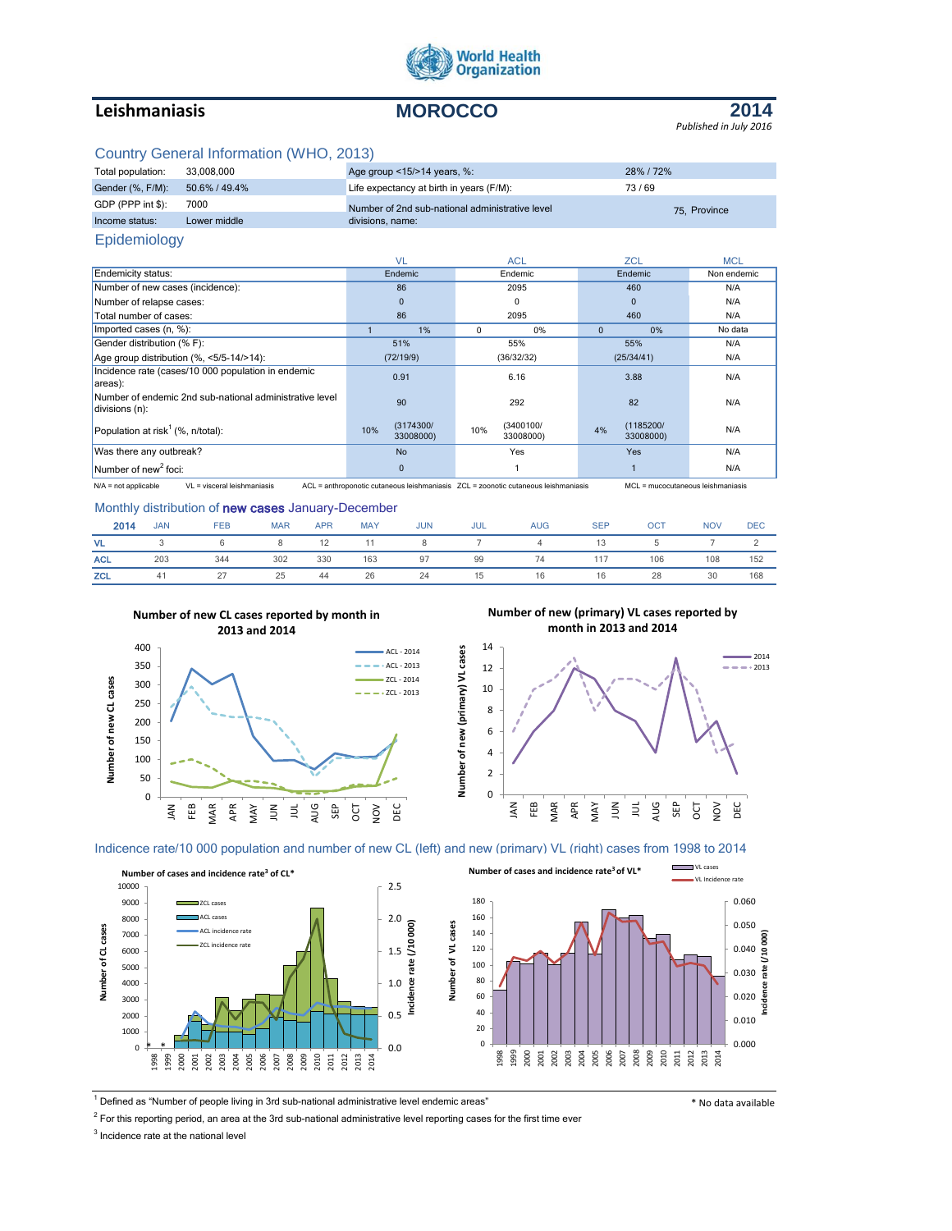

# **Leishmaniasis MOROCCO**



# Country General Information (WHO, 2013)

| Total population: | 33.008.000    | Age group $\leq$ 15/ $>$ 14 years, %:           | 28% / 72%    |  |
|-------------------|---------------|-------------------------------------------------|--------------|--|
| Gender (%, F/M):  | 50.6% / 49.4% | Life expectancy at birth in years (F/M):        | 73/69        |  |
| GDP (PPP int \$): | 7000          | Number of 2nd sub-national administrative level | 75. Province |  |
| Income status:    | Lower middle  | divisions, name:                                |              |  |

## Epidemiology

|                                                                           | <b>VL</b>                     | <b>ACL</b>                    | ZCL                          | <b>MCL</b>  |
|---------------------------------------------------------------------------|-------------------------------|-------------------------------|------------------------------|-------------|
| <b>Endemicity status:</b>                                                 | Endemic                       | Endemic                       | Endemic                      | Non endemic |
| Number of new cases (incidence):                                          | 86                            | 2095                          | 460                          | N/A         |
| Number of relapse cases:                                                  | $\mathbf{0}$                  | 0                             | $\mathbf{0}$                 | N/A         |
| Total number of cases:                                                    | 86                            | 2095                          | 460                          | N/A         |
| Imported cases (n, %):                                                    | 1%                            | 0<br>0%                       | 0%<br>$\Omega$               | No data     |
| Gender distribution (% F):                                                | 51%                           | 55%                           | 55%                          | N/A         |
| Age group distribution (%, <5/5-14/>14):                                  | (72/19/9)                     | (36/32/32)                    | (25/34/41)                   | N/A         |
| Incidence rate (cases/10 000 population in endemic<br>areas):             | 0.91                          | 6.16                          | 3.88                         | N/A         |
| Number of endemic 2nd sub-national administrative level<br>divisions (n): | 90                            | 292                           | 82                           | N/A         |
| Population at risk <sup>1</sup> (%, n/total):                             | (3174300/<br>10%<br>33008000) | (3400100/<br>10%<br>33008000) | (1185200/<br>4%<br>33008000) | N/A         |
| Was there any outbreak?                                                   | <b>No</b>                     | Yes                           | Yes                          | N/A         |
| Number of new <sup>2</sup> foci:                                          | $\Omega$                      |                               |                              | N/A         |

.<br>N/A = not applicable VL = visceral leishmaniasis ACL = anthroponotic cutaneous leishmaniasis ZCL = zoonotic cutaneous leishmaniasis MCL = mucocutaneous leishmaniasis

#### Monthly distribution of new cases January-December

| 2014       | <b>JAN</b> | <b>FEB</b> | <b>MAR</b> | <b>APR</b> | <b>MAY</b> | <b>JUN</b> | <b>JUL</b> | <b>AUG</b>     | <b>SEP</b> | <b>OCT</b> | <b>NOV</b> | <b>DEC</b> |
|------------|------------|------------|------------|------------|------------|------------|------------|----------------|------------|------------|------------|------------|
| VL.        |            | 6          |            | 12         |            | 8          |            | $\overline{a}$ |            |            |            |            |
| <b>ACL</b> | 203        | 344        | 302        | 330        | 163        | 97         | 99         | 74             |            | 106        | 108        | 152        |
| <b>ZCL</b> | 41         | 21         | 25         | 44         | 26         | 24         | 15         | 16             | 16         | 28         | 30         | 168        |



**Number of new (primary) VL cases reported by month in 2013 and 2014**



#### Indicence rate/10 000 population and number of new CL (left) and new (primary) VL (right) cases from 1998 to 2014





<sup>1</sup> Defined as "Number of people living in 3rd sub-national administrative level endemic areas" \* No data available

 $2$  For this reporting period, an area at the 3rd sub-national administrative level reporting cases for the first time ever

<sup>3</sup> Incidence rate at the national level